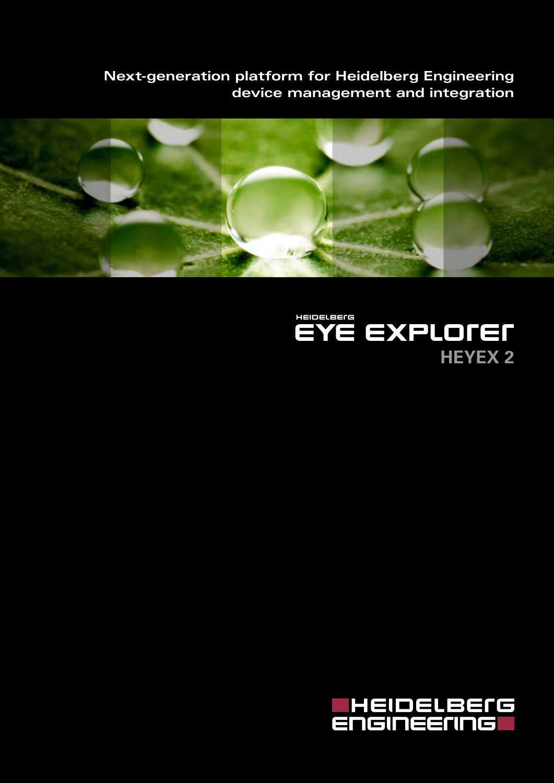**Next-generation platform for Heidelberg Engineering device management and integration**





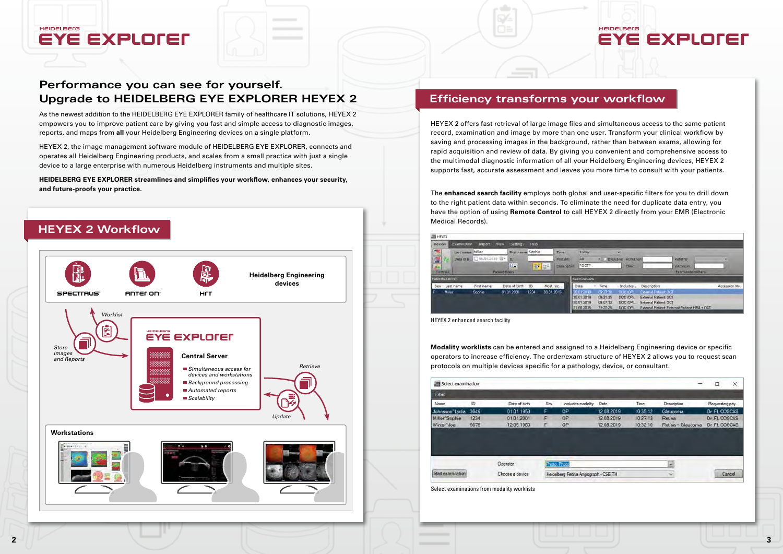### **Efficiency transforms your workflow**

As the newest addition to the HEIDELBERG EYE EXPLORER family of healthcare IT solutions, HEYEX 2 empowers you to improve patient care by giving you fast and simple access to diagnostic images, reports, and maps from **all** your Heidelberg Engineering devices on a single platform.

HEYEX 2, the image management software module of HEIDELBERG EYE EXPLORER, connects and operates all Heidelberg Engineering products, and scales from a small practice with just a single device to a large enterprise with numerous Heidelberg instruments and multiple sites.

**HEIDELBERG EYE EXPLORER streamlines and simplifies your workflow, enhances your security, and future-proofs your practice.**

**HEIDELBErG** 

**EYE EXPLOTED** 





HEYEX 2 offers fast retrieval of large image files and simultaneous access to the same patient record, examination and image by more than one user. Transform your clinical workflow by saving and processing images in the background, rather than between exams, allowing for rapid acquisition and review of data. By giving you convenient and comprehensive access to the multimodal diagnostic information of all your Heidelberg Engineering devices, HEYEX 2 supports fast, accurate assessment and leaves you more time to consult with your patients.

The **enhanced search facility** employs both global and user-specific filters for you to drill down to the right patient data within seconds. To eliminate the need for duplicate data entry, you have the option of using **Remote Control** to call HEYEX 2 directly from your EMR (Electronic Medical Records).





**Modality worklists** can be entered and assigned to a Heidelberg Engineering device or specific operators to increase efficiency. The order/exam structure of HEYEX 2 allows you to request scan protocols on multiple devices specific for a pathology, device, or consultant.

| Filter                     |      |               |     |                |
|----------------------------|------|---------------|-----|----------------|
| Name                       | ID.  | Date of birth | Sex | Includes modal |
| Johnsson Lydia             | 3649 | 01.01.1953    | F   | OP             |
| Miller <sup>*</sup> Sophie | 1234 | 01.01.2001    | F   | <b>OP</b>      |
| Winter"Joe                 | 5678 | 12.05.1980    | F   | OP             |
|                            |      | Operator      |     | Fhato, Phato   |
|                            |      |               |     |                |

HEYEX 2 enhanced search facility

Select examinations from modality worklists

# **Performance you can see for yourself. Upgrade to HEIDELBERG EYE EXPLORER HEYEX 2**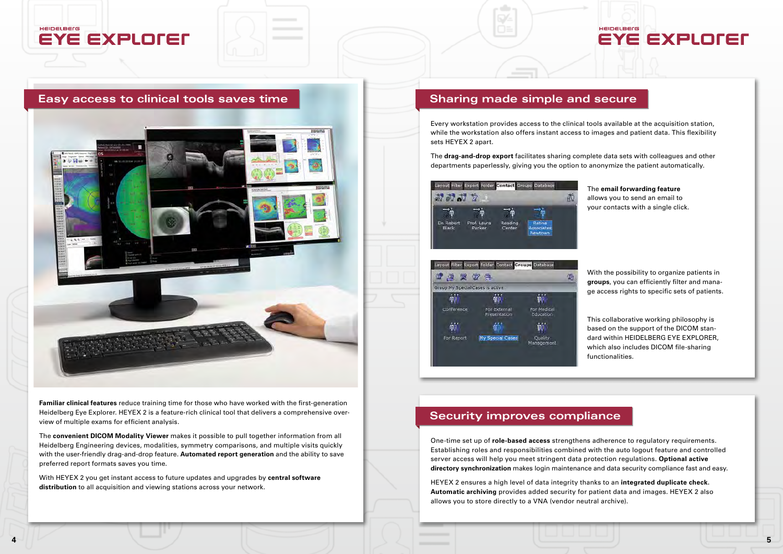#### HEIDELBErG **EYE EXPLOTED**

#### **Easy access to clinical tools saves time**



**Familiar clinical features** reduce training time for those who have worked with the first-generation Heidelberg Eye Explorer. HEYEX 2 is a feature-rich clinical tool that delivers a comprehensive overview of multiple exams for efficient analysis.

The **convenient DICOM Modality Viewer** makes it possible to pull together information from all Heidelberg Engineering devices, modalities, symmetry comparisons, and multiple visits quickly with the user-friendly drag-and-drop feature. **Automated report generation** and the ability to save preferred report formats saves you time.

With HEYEX 2 you get instant access to future updates and upgrades by **central software distribution** to all acquisition and viewing stations across your network.



## **Sharing made simple and secure**

Every workstation provides access to the clinical tools available at the acquisition station, while the workstation also offers instant access to images and patient data. This flexibility sets HEYEX 2 apart.

The **drag-and-drop export** facilitates sharing complete data sets with colleagues and other departments paperlessly, giving you the option to anonymize the patient automatically.



The **email forwarding feature** allows you to send an email to your contacts with a single click.

With the possibility to organize patients in **groups**, you can efficiently filter and manage access rights to specific sets of patients.

This collaborative working philosophy is based on the support of the DICOM standard within HEIDELBERG EYE EXPLORER, which also includes DICOM file-sharing functionalities.

# **Security improves compliance**

One-time set up of **role-based access** strengthens adherence to regulatory requirements. Establishing roles and responsibilities combined with the auto logout feature and controlled server access will help you meet stringent data protection regulations. **Optional active directory synchronization** makes login maintenance and data security compliance fast and easy.

HEYEX 2 ensures a high level of data integrity thanks to an **integrated duplicate check. Automatic archiving** provides added security for patient data and images. HEYEX 2 also allows you to store directly to a VNA (vendor neutral archive).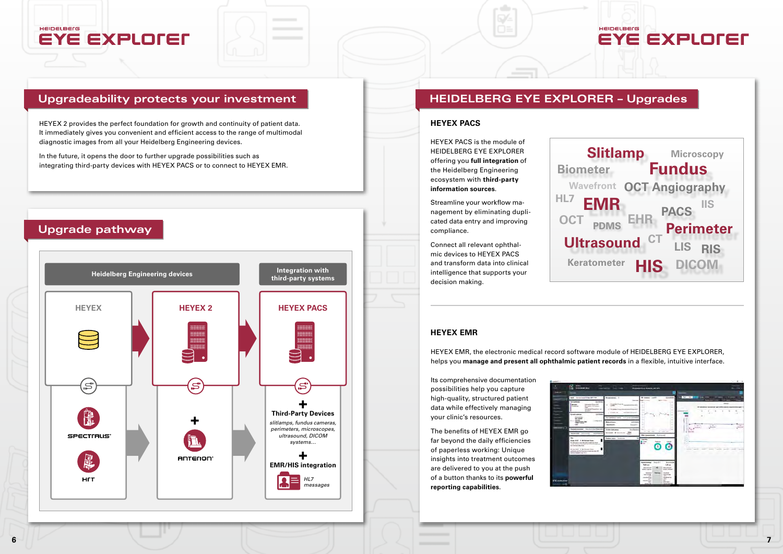



| <b>College Street</b>                                                                                                                                                                                                                                                                                                                                                                                                                                                                                                                                                                              | administration and ads                                                                                                                                                                                                                                                                                                 |                                                                                                                                                                                                                                                                                                                                      |
|----------------------------------------------------------------------------------------------------------------------------------------------------------------------------------------------------------------------------------------------------------------------------------------------------------------------------------------------------------------------------------------------------------------------------------------------------------------------------------------------------------------------------------------------------------------------------------------------------|------------------------------------------------------------------------------------------------------------------------------------------------------------------------------------------------------------------------------------------------------------------------------------------------------------------------|--------------------------------------------------------------------------------------------------------------------------------------------------------------------------------------------------------------------------------------------------------------------------------------------------------------------------------------|
| at ine-<br><b>Belgiumman, Or</b><br>$\sim$<br><b>Such three</b><br><b>Road Pr</b><br><b><i>STATE REPAIRS</i></b><br><b><i><u>Special of</u></i></b><br>17 YEAR & ENGINEERS AND RESIDENCE<br><b>Power Car</b><br><b>SEARCHERS CONSULTANCE</b><br><b>School</b><br>÷<br><b>Exception same</b> Increase a CTM<br><b>Internet</b><br>14.1<br><b>Some (PT)</b><br><b><i><u><i><b>Internet</b></i></u></i></b><br><b>Facility State at the</b><br><b>Exclusiveness of Constitutions</b><br><b>Alaskad</b><br><b>TELESCO</b><br><b>Realized scales: " Reconsident</b><br>$\overline{\phantom{a}}$<br>1.14 | <br>$\overline{1}$<br>٠<br>$\sim$<br>$\sim$<br>٠<br>٠<br>۰<br>$\sim$<br>٠<br>$\sim$<br>$\rightarrow$<br>×<br>×<br>m<br>×<br>÷<br><b>Controller Control</b><br>All control control<br><b>Sealers</b><br>ы<br>Total Mile<br>≕<br><b>TOP ALE</b><br><b>Provide</b><br>o                                                   | <b>Sec.</b><br>$\sim$<br><b>James</b><br>٠<br>$-11$<br>u<br>٠<br>$\sim$<br>Æ<br><b>Link IR</b><br>٠<br>٠<br>٠<br>٠<br>٠<br><b>START</b><br>with the<br><b>MARKET</b><br>---<br><b>Service</b><br>-<br>$\frac{1}{2} \left( \frac{1}{2} \right) \left( \frac{1}{2} \right) \left( \frac{1}{2} \right) \left( \frac{1}{2} \right)$<br>۳ |
|                                                                                                                                                                                                                                                                                                                                                                                                                                                                                                                                                                                                    | manager Start 1<br><b>Scottende</b><br><b>Tight and</b><br><b>Lab case</b><br>week services.<br>detected good.<br>4 do it made:<br>AMA 14 MW<br><b>Nicked</b><br><b>Black and</b><br><b>HARACE</b><br><b>SECURITIES</b><br><b>SECURITIES</b><br>48.7<br>$-$<br>T<br>profession.<br>$\sim$<br><b>Minimum Rich</b><br>æ, |                                                                                                                                                                                                                                                                                                                                      |

### HEIDELBErG **EYE EXPLOTED**

HEYEX 2 provides the perfect foundation for growth and continuity of patient data. It immediately gives you convenient and efficient access to the range of multimodal diagnostic images from all your Heidelberg Engineering devices.

In the future, it opens the door to further upgrade possibilities such as integrating third-party devices with HEYEX PACS or to connect to HEYEX EMR. HEYEX PACS is the module of HEIDELBERG EYE EXPLORER offering you **full integration** of the Heidelberg Engineering ecosystem with **third-party information sources**.

Streamline your workflow management by eliminating duplicated data entry and improving compliance.

Connect all relevant ophthalmic devices to HEYEX PACS and transform data into clinical intelligence that supports your decision making.



# **Upgradeability protects your investment HEIDELBERG EYE EXPLORER - Upgrades**

#### **HEYEX PACS**

#### **HEYEX EMR**

Its comprehensive documentation possibilities help you capture high-quality, structured patient data while effectively managing your clinic's resources.

The benefits of HEYEX EMR go far beyond the daily efficiencies of paperless working: Unique insights into treatment outcomes are delivered to you at the push of a button thanks to its **powerful reporting capabilities**.



HEYEX EMR, the electronic medical record software module of HEIDELBERG EYE EXPLORER, helps you **manage and present all ophthalmic patient records** in a flexible, intuitive interface.